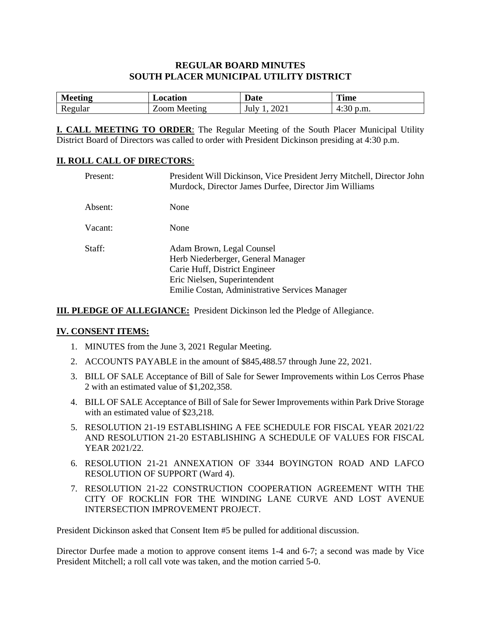#### **REGULAR BOARD MINUTES SOUTH PLACER MUNICIPAL UTILITY DISTRICT**

| <b>Meeting</b> | Location     | Date         | <b>Time</b> |
|----------------|--------------|--------------|-------------|
| Regular        | Zoom Meeting | 2021<br>July | 4:30 p.m.   |

**I. CALL MEETING TO ORDER**: The Regular Meeting of the South Placer Municipal Utility District Board of Directors was called to order with President Dickinson presiding at 4:30 p.m.

#### **II. ROLL CALL OF DIRECTORS**:

| Present: | President Will Dickinson, Vice President Jerry Mitchell, Director John<br>Murdock, Director James Durfee, Director Jim Williams                                                    |
|----------|------------------------------------------------------------------------------------------------------------------------------------------------------------------------------------|
| Absent:  | None                                                                                                                                                                               |
| Vacant:  | None                                                                                                                                                                               |
| Staff:   | Adam Brown, Legal Counsel<br>Herb Niederberger, General Manager<br>Carie Huff, District Engineer<br>Eric Nielsen, Superintendent<br>Emilie Costan, Administrative Services Manager |

**III. PLEDGE OF ALLEGIANCE:** President Dickinson led the Pledge of Allegiance.

#### **IV. CONSENT ITEMS:**

- 1. MINUTES from the June 3, 2021 Regular Meeting.
- 2. ACCOUNTS PAYABLE in the amount of \$845,488.57 through June 22, 2021.
- 3. BILL OF SALE Acceptance of Bill of Sale for Sewer Improvements within Los Cerros Phase 2 with an estimated value of \$1,202,358.
- 4. BILL OF SALE Acceptance of Bill of Sale for Sewer Improvements within Park Drive Storage with an estimated value of \$23,218.
- 5. RESOLUTION 21-19 ESTABLISHING A FEE SCHEDULE FOR FISCAL YEAR 2021/22 AND RESOLUTION 21-20 ESTABLISHING A SCHEDULE OF VALUES FOR FISCAL YEAR 2021/22.
- 6. RESOLUTION 21-21 ANNEXATION OF 3344 BOYINGTON ROAD AND LAFCO RESOLUTION OF SUPPORT (Ward 4).
- 7. RESOLUTION 21-22 CONSTRUCTION COOPERATION AGREEMENT WITH THE CITY OF ROCKLIN FOR THE WINDING LANE CURVE AND LOST AVENUE INTERSECTION IMPROVEMENT PROJECT.

President Dickinson asked that Consent Item #5 be pulled for additional discussion.

Director Durfee made a motion to approve consent items 1-4 and 6-7; a second was made by Vice President Mitchell; a roll call vote was taken, and the motion carried 5-0.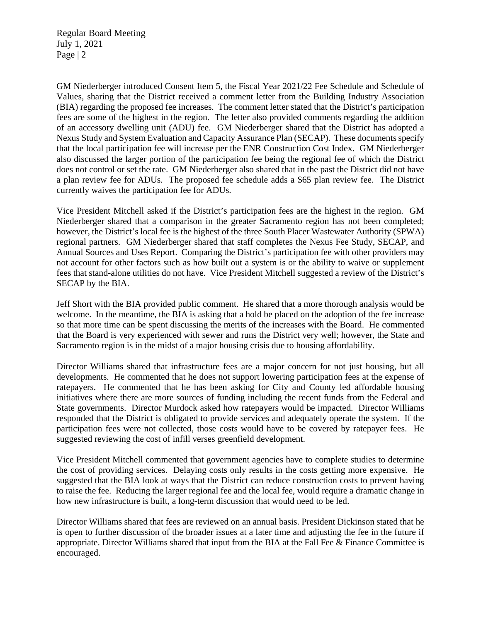Regular Board Meeting July 1, 2021 Page | 2

GM Niederberger introduced Consent Item 5, the Fiscal Year 2021/22 Fee Schedule and Schedule of Values, sharing that the District received a comment letter from the Building Industry Association (BIA) regarding the proposed fee increases. The comment letter stated that the District's participation fees are some of the highest in the region. The letter also provided comments regarding the addition of an accessory dwelling unit (ADU) fee. GM Niederberger shared that the District has adopted a Nexus Study and System Evaluation and Capacity Assurance Plan (SECAP). These documents specify that the local participation fee will increase per the ENR Construction Cost Index. GM Niederberger also discussed the larger portion of the participation fee being the regional fee of which the District does not control or set the rate. GM Niederberger also shared that in the past the District did not have a plan review fee for ADUs. The proposed fee schedule adds a \$65 plan review fee. The District currently waives the participation fee for ADUs.

Vice President Mitchell asked if the District's participation fees are the highest in the region. GM Niederberger shared that a comparison in the greater Sacramento region has not been completed; however, the District's local fee is the highest of the three South Placer Wastewater Authority (SPWA) regional partners. GM Niederberger shared that staff completes the Nexus Fee Study, SECAP, and Annual Sources and Uses Report. Comparing the District's participation fee with other providers may not account for other factors such as how built out a system is or the ability to waive or supplement fees that stand-alone utilities do not have. Vice President Mitchell suggested a review of the District's SECAP by the BIA.

Jeff Short with the BIA provided public comment. He shared that a more thorough analysis would be welcome. In the meantime, the BIA is asking that a hold be placed on the adoption of the fee increase so that more time can be spent discussing the merits of the increases with the Board. He commented that the Board is very experienced with sewer and runs the District very well; however, the State and Sacramento region is in the midst of a major housing crisis due to housing affordability.

Director Williams shared that infrastructure fees are a major concern for not just housing, but all developments. He commented that he does not support lowering participation fees at the expense of ratepayers. He commented that he has been asking for City and County led affordable housing initiatives where there are more sources of funding including the recent funds from the Federal and State governments. Director Murdock asked how ratepayers would be impacted. Director Williams responded that the District is obligated to provide services and adequately operate the system. If the participation fees were not collected, those costs would have to be covered by ratepayer fees. He suggested reviewing the cost of infill verses greenfield development.

Vice President Mitchell commented that government agencies have to complete studies to determine the cost of providing services. Delaying costs only results in the costs getting more expensive. He suggested that the BIA look at ways that the District can reduce construction costs to prevent having to raise the fee. Reducing the larger regional fee and the local fee, would require a dramatic change in how new infrastructure is built, a long-term discussion that would need to be led.

Director Williams shared that fees are reviewed on an annual basis. President Dickinson stated that he is open to further discussion of the broader issues at a later time and adjusting the fee in the future if appropriate. Director Williams shared that input from the BIA at the Fall Fee & Finance Committee is encouraged.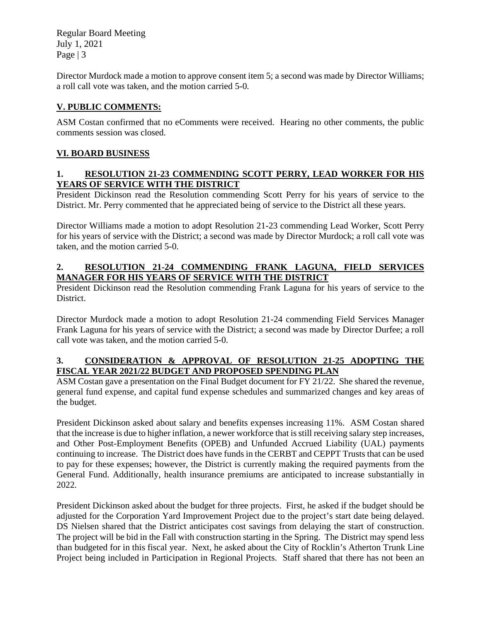Regular Board Meeting July 1, 2021 Page | 3

Director Murdock made a motion to approve consent item 5; a second was made by Director Williams; a roll call vote was taken, and the motion carried 5-0.

### **V. PUBLIC COMMENTS:**

ASM Costan confirmed that no eComments were received. Hearing no other comments, the public comments session was closed.

### **VI. BOARD BUSINESS**

#### **1. RESOLUTION 21-23 COMMENDING SCOTT PERRY, LEAD WORKER FOR HIS YEARS OF SERVICE WITH THE DISTRICT**

President Dickinson read the Resolution commending Scott Perry for his years of service to the District. Mr. Perry commented that he appreciated being of service to the District all these years.

Director Williams made a motion to adopt Resolution 21-23 commending Lead Worker, Scott Perry for his years of service with the District; a second was made by Director Murdock; a roll call vote was taken, and the motion carried 5-0.

### **2. RESOLUTION 21-24 COMMENDING FRANK LAGUNA, FIELD SERVICES MANAGER FOR HIS YEARS OF SERVICE WITH THE DISTRICT**

President Dickinson read the Resolution commending Frank Laguna for his years of service to the District.

Director Murdock made a motion to adopt Resolution 21-24 commending Field Services Manager Frank Laguna for his years of service with the District; a second was made by Director Durfee; a roll call vote was taken, and the motion carried 5-0.

#### **3. CONSIDERATION & APPROVAL OF RESOLUTION 21-25 ADOPTING THE FISCAL YEAR 2021/22 BUDGET AND PROPOSED SPENDING PLAN**

ASM Costan gave a presentation on the Final Budget document for FY 21/22. She shared the revenue, general fund expense, and capital fund expense schedules and summarized changes and key areas of the budget.

President Dickinson asked about salary and benefits expenses increasing 11%. ASM Costan shared that the increase is due to higher inflation, a newer workforce that is still receiving salary step increases, and Other Post-Employment Benefits (OPEB) and Unfunded Accrued Liability (UAL) payments continuing to increase. The District does have funds in the CERBT and CEPPT Trusts that can be used to pay for these expenses; however, the District is currently making the required payments from the General Fund. Additionally, health insurance premiums are anticipated to increase substantially in 2022.

President Dickinson asked about the budget for three projects. First, he asked if the budget should be adjusted for the Corporation Yard Improvement Project due to the project's start date being delayed. DS Nielsen shared that the District anticipates cost savings from delaying the start of construction. The project will be bid in the Fall with construction starting in the Spring. The District may spend less than budgeted for in this fiscal year. Next, he asked about the City of Rocklin's Atherton Trunk Line Project being included in Participation in Regional Projects. Staff shared that there has not been an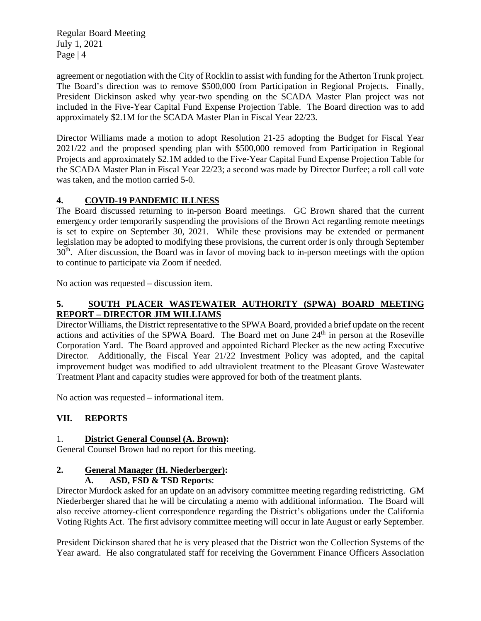Regular Board Meeting July 1, 2021 Page  $|4$ 

agreement or negotiation with the City of Rocklin to assist with funding for the Atherton Trunk project. The Board's direction was to remove \$500,000 from Participation in Regional Projects. Finally, President Dickinson asked why year-two spending on the SCADA Master Plan project was not included in the Five-Year Capital Fund Expense Projection Table. The Board direction was to add approximately \$2.1M for the SCADA Master Plan in Fiscal Year 22/23.

Director Williams made a motion to adopt Resolution 21-25 adopting the Budget for Fiscal Year 2021/22 and the proposed spending plan with \$500,000 removed from Participation in Regional Projects and approximately \$2.1M added to the Five-Year Capital Fund Expense Projection Table for the SCADA Master Plan in Fiscal Year 22/23; a second was made by Director Durfee; a roll call vote was taken, and the motion carried 5-0.

## **4. COVID-19 PANDEMIC ILLNESS**

The Board discussed returning to in-person Board meetings. GC Brown shared that the current emergency order temporarily suspending the provisions of the Brown Act regarding remote meetings is set to expire on September 30, 2021. While these provisions may be extended or permanent legislation may be adopted to modifying these provisions, the current order is only through September 30<sup>th</sup>. After discussion, the Board was in favor of moving back to in-person meetings with the option to continue to participate via Zoom if needed.

No action was requested – discussion item.

### **5. SOUTH PLACER WASTEWATER AUTHORITY (SPWA) BOARD MEETING REPORT – DIRECTOR JIM WILLIAMS**

Director Williams, the District representative to the SPWA Board, provided a brief update on the recent actions and activities of the SPWA Board. The Board met on June  $24<sup>th</sup>$  in person at the Roseville Corporation Yard. The Board approved and appointed Richard Plecker as the new acting Executive Director. Additionally, the Fiscal Year 21/22 Investment Policy was adopted, and the capital improvement budget was modified to add ultraviolent treatment to the Pleasant Grove Wastewater Treatment Plant and capacity studies were approved for both of the treatment plants.

No action was requested – informational item.

# **VII. REPORTS**

### 1. **District General Counsel (A. Brown):**

General Counsel Brown had no report for this meeting.

# **2. General Manager (H. Niederberger):**

### **A. ASD, FSD & TSD Reports**:

Director Murdock asked for an update on an advisory committee meeting regarding redistricting. GM Niederberger shared that he will be circulating a memo with additional information. The Board will also receive attorney-client correspondence regarding the District's obligations under the California Voting Rights Act. The first advisory committee meeting will occur in late August or early September.

President Dickinson shared that he is very pleased that the District won the Collection Systems of the Year award. He also congratulated staff for receiving the Government Finance Officers Association